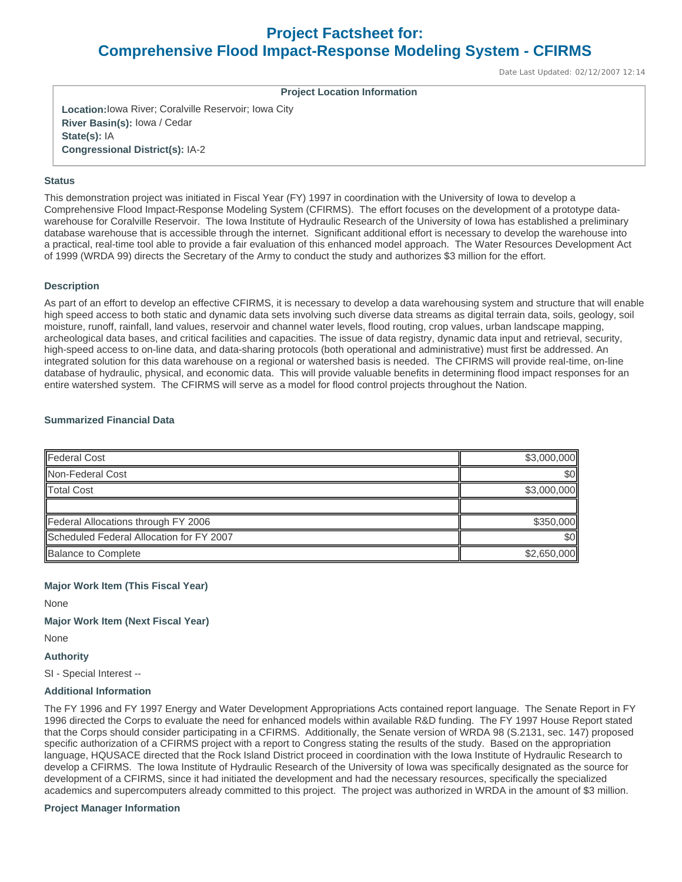# **Project Factsheet for: Comprehensive Flood Impact-Response Modeling System - CFIRMS**

Date Last Updated: 02/12/2007 12:14

**Project Location Information** 

**Location:**Iowa River; Coralville Reservoir; Iowa City **River Basin(s):** Iowa / Cedar **State(s):** IA **Congressional District(s):** IA-2

## **Status**

This demonstration project was initiated in Fiscal Year (FY) 1997 in coordination with the University of Iowa to develop a Comprehensive Flood Impact-Response Modeling System (CFIRMS). The effort focuses on the development of a prototype datawarehouse for Coralville Reservoir. The Iowa Institute of Hydraulic Research of the University of Iowa has established a preliminary database warehouse that is accessible through the internet. Significant additional effort is necessary to develop the warehouse into a practical, real-time tool able to provide a fair evaluation of this enhanced model approach. The Water Resources Development Act of 1999 (WRDA 99) directs the Secretary of the Army to conduct the study and authorizes \$3 million for the effort.

#### **Description**

As part of an effort to develop an effective CFIRMS, it is necessary to develop a data warehousing system and structure that will enable high speed access to both static and dynamic data sets involving such diverse data streams as digital terrain data, soils, geology, soil moisture, runoff, rainfall, land values, reservoir and channel water levels, flood routing, crop values, urban landscape mapping, archeological data bases, and critical facilities and capacities. The issue of data registry, dynamic data input and retrieval, security, high-speed access to on-line data, and data-sharing protocols (both operational and administrative) must first be addressed. An integrated solution for this data warehouse on a regional or watershed basis is needed. The CFIRMS will provide real-time, on-line database of hydraulic, physical, and economic data. This will provide valuable benefits in determining flood impact responses for an entire watershed system. The CFIRMS will serve as a model for flood control projects throughout the Nation.

#### **Summarized Financial Data**

| <b>Federal Cost</b>                      | \$3,000,000 |
|------------------------------------------|-------------|
| Non-Federal Cost                         | \$0         |
| <b>Total Cost</b>                        | \$3,000,000 |
|                                          |             |
| Federal Allocations through FY 2006      | \$350,000   |
| Scheduled Federal Allocation for FY 2007 | \$0         |
| <b>Balance to Complete</b>               | \$2,650,000 |

## **Major Work Item (This Fiscal Year)**

None

**Major Work Item (Next Fiscal Year)** 

None

## **Authority**

SI - Special Interest --

### **Additional Information**

The FY 1996 and FY 1997 Energy and Water Development Appropriations Acts contained report language. The Senate Report in FY 1996 directed the Corps to evaluate the need for enhanced models within available R&D funding. The FY 1997 House Report stated that the Corps should consider participating in a CFIRMS. Additionally, the Senate version of WRDA 98 (S.2131, sec. 147) proposed specific authorization of a CFIRMS project with a report to Congress stating the results of the study. Based on the appropriation language, HQUSACE directed that the Rock Island District proceed in coordination with the Iowa Institute of Hydraulic Research to develop a CFIRMS. The Iowa Institute of Hydraulic Research of the University of Iowa was specifically designated as the source for development of a CFIRMS, since it had initiated the development and had the necessary resources, specifically the specialized academics and supercomputers already committed to this project. The project was authorized in WRDA in the amount of \$3 million.

#### **Project Manager Information**